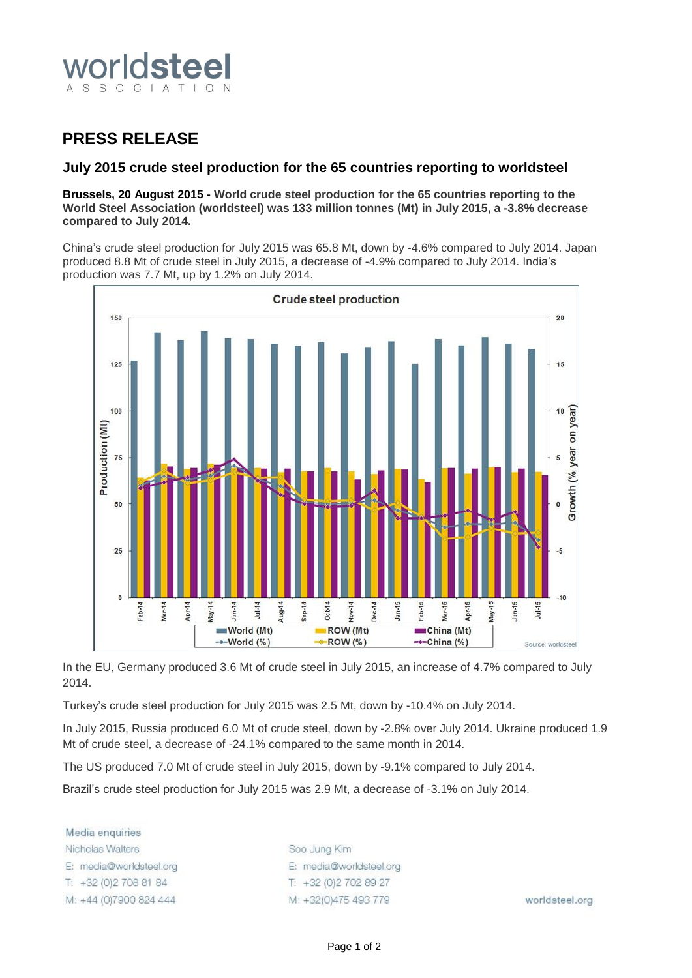

## **PRESS RELEASE**

### **July 2015 crude steel production for the 65 countries reporting to worldsteel**

**Brussels, 20 August 2015 - World crude steel production for the 65 countries reporting to the World Steel Association (worldsteel) was 133 million tonnes (Mt) in July 2015, a -3.8% decrease compared to July 2014.**

China's crude steel production for July 2015 was 65.8 Mt, down by -4.6% compared to July 2014. Japan produced 8.8 Mt of crude steel in July 2015, a decrease of -4.9% compared to July 2014. India's production was 7.7 Mt, up by 1.2% on July 2014.



In the EU, Germany produced 3.6 Mt of crude steel in July 2015, an increase of 4.7% compared to July 2014.

Turkey's crude steel production for July 2015 was 2.5 Mt, down by -10.4% on July 2014.

In July 2015, Russia produced 6.0 Mt of crude steel, down by -2.8% over July 2014. Ukraine produced 1.9 Mt of crude steel, a decrease of -24.1% compared to the same month in 2014.

The US produced 7.0 Mt of crude steel in July 2015, down by -9.1% compared to July 2014.

Brazil's crude steel production for July 2015 was 2.9 Mt, a decrease of -3.1% on July 2014.

Media enquiries Nicholas Walters E: media@worldsteel.org T: +32 (0) 2 708 81 84 M: +44 (0)7900 824 444

Soo Jung Kim E: media@worldsteel.org T: +32 (0) 2 70 2 89 27 M: +32(0)475 493 779

worldsteel.org